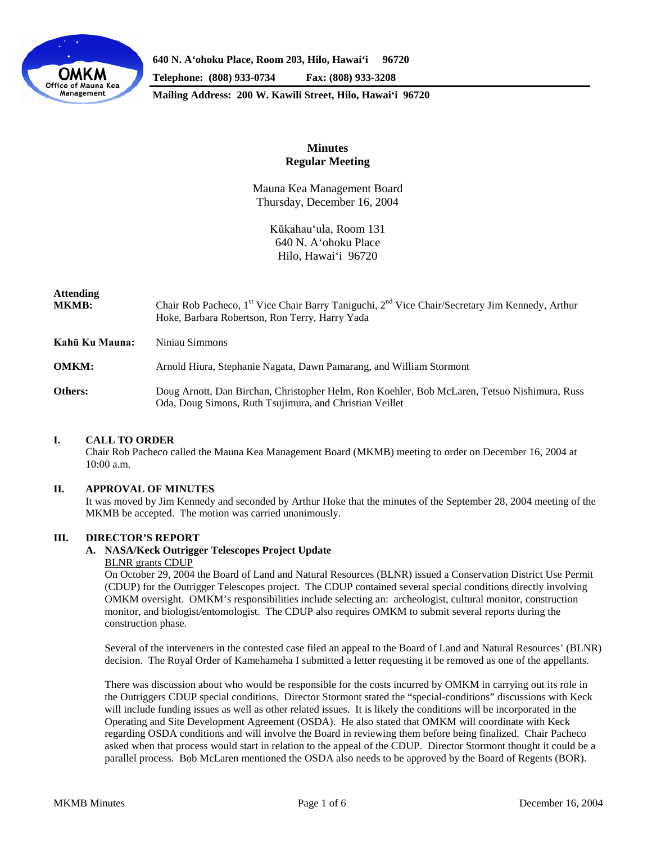

**640 N. A'ohoku Place, Room 203, Hilo, Hawai'i 96720**

**Telephone: (808) 933-0734 Fax: (808) 933-3208**

**Mailing Address: 200 W. Kawili Street, Hilo, Hawai'i 96720**

# **Minutes Regular Meeting**

Mauna Kea Management Board Thursday, December 16, 2004

> Kūkahau'ula, Room 131 640 N. A'ohoku Place Hilo, Hawai'i 96720

# **Attending**

| <b>MKMB:</b>   | Chair Rob Pacheco, 1 <sup>st</sup> Vice Chair Barry Taniguchi, 2 <sup>nd</sup> Vice Chair/Secretary Jim Kennedy, Arthur<br>Hoke, Barbara Robertson, Ron Terry, Harry Yada |
|----------------|---------------------------------------------------------------------------------------------------------------------------------------------------------------------------|
| Kahū Ku Mauna: | Niniau Simmons                                                                                                                                                            |
| <b>OMKM:</b>   | Arnold Hiura, Stephanie Nagata, Dawn Pamarang, and William Stormont                                                                                                       |
| Others:        | Doug Arnott, Dan Birchan, Christopher Helm, Ron Koehler, Bob McLaren, Tetsuo Nishimura, Russ<br>Oda, Doug Simons, Ruth Tsujimura, and Christian Veillet                   |

# **I. CALL TO ORDER**

Chair Rob Pacheco called the Mauna Kea Management Board (MKMB) meeting to order on December 16, 2004 at 10:00 a.m.

# **II. APPROVAL OF MINUTES**

It was moved by Jim Kennedy and seconded by Arthur Hoke that the minutes of the September 28, 2004 meeting of the MKMB be accepted. The motion was carried unanimously.

# **III. DIRECTOR'S REPORT**

# **A. NASA/Keck Outrigger Telescopes Project Update**

#### BLNR grants CDUP

On October 29, 2004 the Board of Land and Natural Resources (BLNR) issued a Conservation District Use Permit (CDUP) for the Outrigger Telescopes project. The CDUP contained several special conditions directly involving OMKM oversight. OMKM's responsibilities include selecting an: archeologist, cultural monitor, construction monitor, and biologist/entomologist. The CDUP also requires OMKM to submit several reports during the construction phase.

Several of the interveners in the contested case filed an appeal to the Board of Land and Natural Resources' (BLNR) decision. The Royal Order of Kamehameha I submitted a letter requesting it be removed as one of the appellants.

There was discussion about who would be responsible for the costs incurred by OMKM in carrying out its role in the Outriggers CDUP special conditions. Director Stormont stated the "special-conditions" discussions with Keck will include funding issues as well as other related issues. It is likely the conditions will be incorporated in the Operating and Site Development Agreement (OSDA). He also stated that OMKM will coordinate with Keck regarding OSDA conditions and will involve the Board in reviewing them before being finalized. Chair Pacheco asked when that process would start in relation to the appeal of the CDUP. Director Stormont thought it could be a parallel process. Bob McLaren mentioned the OSDA also needs to be approved by the Board of Regents (BOR).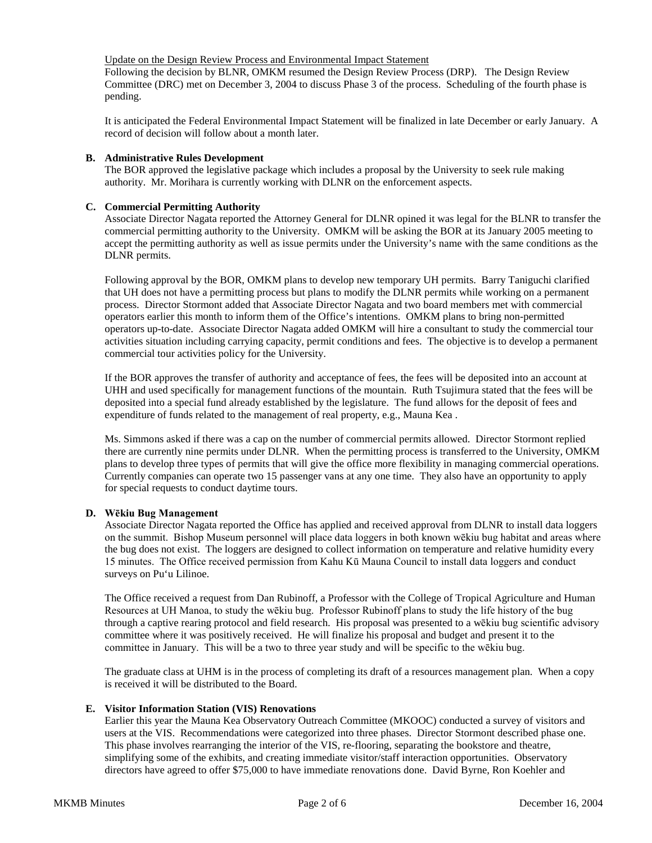## Update on the Design Review Process and Environmental Impact Statement

Following the decision by BLNR, OMKM resumed the Design Review Process (DRP). The Design Review Committee (DRC) met on December 3, 2004 to discuss Phase 3 of the process. Scheduling of the fourth phase is pending.

It is anticipated the Federal Environmental Impact Statement will be finalized in late December or early January. A record of decision will follow about a month later.

# **B. Administrative Rules Development**

The BOR approved the legislative package which includes a proposal by the University to seek rule making authority. Mr. Morihara is currently working with DLNR on the enforcement aspects.

### **C. Commercial Permitting Authority**

Associate Director Nagata reported the Attorney General for DLNR opined it was legal for the BLNR to transfer the commercial permitting authority to the University. OMKM will be asking the BOR at its January 2005 meeting to accept the permitting authority as well as issue permits under the University's name with the same conditions as the DLNR permits.

Following approval by the BOR, OMKM plans to develop new temporary UH permits. Barry Taniguchi clarified that UH does not have a permitting process but plans to modify the DLNR permits while working on a permanent process. Director Stormont added that Associate Director Nagata and two board members met with commercial operators earlier this month to inform them of the Office's intentions. OMKM plans to bring non-permitted operators up-to-date. Associate Director Nagata added OMKM will hire a consultant to study the commercial tour activities situation including carrying capacity, permit conditions and fees. The objective is to develop a permanent commercial tour activities policy for the University.

If the BOR approves the transfer of authority and acceptance of fees, the fees will be deposited into an account at UHH and used specifically for management functions of the mountain. Ruth Tsujimura stated that the fees will be deposited into a special fund already established by the legislature. The fund allows for the deposit of fees and expenditure of funds related to the management of real property, e.g., Mauna Kea .

Ms. Simmons asked if there was a cap on the number of commercial permits allowed. Director Stormont replied there are currently nine permits under DLNR. When the permitting process is transferred to the University, OMKM plans to develop three types of permits that will give the office more flexibility in managing commercial operations. Currently companies can operate two 15 passenger vans at any one time. They also have an opportunity to apply for special requests to conduct daytime tours.

#### **D. Wēkiu Bug Management**

Associate Director Nagata reported the Office has applied and received approval from DLNR to install data loggers on the summit. Bishop Museum personnel will place data loggers in both known wēkiu bug habitat and areas where the bug does not exist. The loggers are designed to collect information on temperature and relative humidity every 15 minutes. The Office received permission from Kahu Kū Mauna Council to install data loggers and conduct surveys on Pu'u Lilinoe.

The Office received a request from Dan Rubinoff, a Professor with the College of Tropical Agriculture and Human Resources at UH Manoa, to study the wēkiu bug. Professor Rubinoff plans to study the life history of the bug through a captive rearing protocol and field research. His proposal was presented to a wēkiu bug scientific advisory committee where it was positively received. He will finalize his proposal and budget and present it to the committee in January. This will be a two to three year study and will be specific to the wēkiu bug.

The graduate class at UHM is in the process of completing its draft of a resources management plan. When a copy is received it will be distributed to the Board.

#### **E. Visitor Information Station (VIS) Renovations**

Earlier this year the Mauna Kea Observatory Outreach Committee (MKOOC) conducted a survey of visitors and users at the VIS. Recommendations were categorized into three phases. Director Stormont described phase one. This phase involves rearranging the interior of the VIS, re-flooring, separating the bookstore and theatre, simplifying some of the exhibits, and creating immediate visitor/staff interaction opportunities. Observatory directors have agreed to offer \$75,000 to have immediate renovations done. David Byrne, Ron Koehler and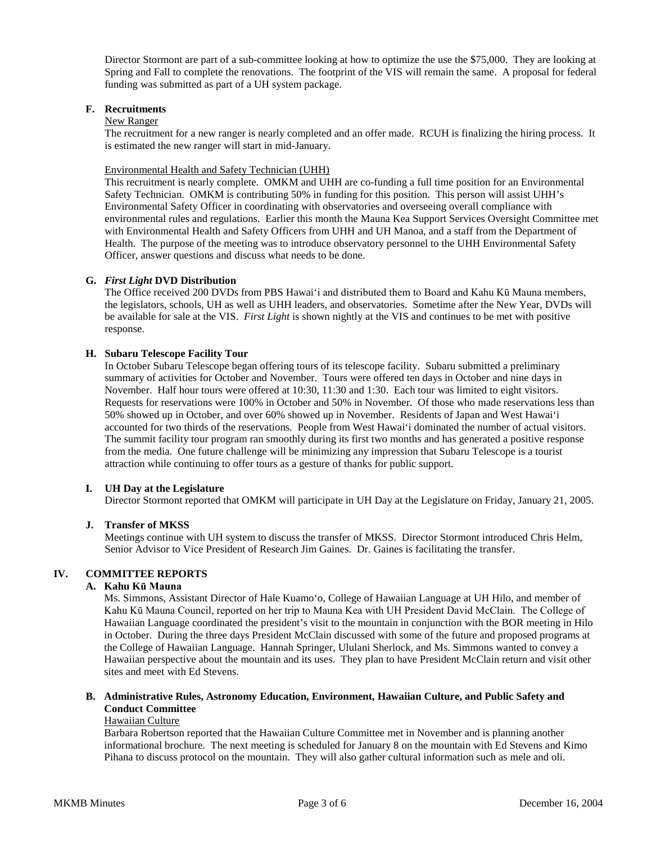Director Stormont are part of a sub-committee looking at how to optimize the use the \$75,000. They are looking at Spring and Fall to complete the renovations. The footprint of the VIS will remain the same. A proposal for federal funding was submitted as part of a UH system package.

## **F. Recruitments**

#### New Ranger

The recruitment for a new ranger is nearly completed and an offer made. RCUH is finalizing the hiring process. It is estimated the new ranger will start in mid-January.

# Environmental Health and Safety Technician (UHH)

This recruitment is nearly complete. OMKM and UHH are co-funding a full time position for an Environmental Safety Technician. OMKM is contributing 50% in funding for this position. This person will assist UHH's Environmental Safety Officer in coordinating with observatories and overseeing overall compliance with environmental rules and regulations. Earlier this month the Mauna Kea Support Services Oversight Committee met with Environmental Health and Safety Officers from UHH and UH Manoa, and a staff from the Department of Health. The purpose of the meeting was to introduce observatory personnel to the UHH Environmental Safety Officer, answer questions and discuss what needs to be done.

### **G.** *First Light* **DVD Distribution**

The Office received 200 DVDs from PBS Hawai'i and distributed them to Board and Kahu Kū Mauna members, the legislators, schools, UH as well as UHH leaders, and observatories. Sometime after the New Year, DVDs will be available for sale at the VIS. *First Light* is shown nightly at the VIS and continues to be met with positive response.

### **H. Subaru Telescope Facility Tour**

In October Subaru Telescope began offering tours of its telescope facility. Subaru submitted a preliminary summary of activities for October and November. Tours were offered ten days in October and nine days in November. Half hour tours were offered at 10:30, 11:30 and 1:30. Each tour was limited to eight visitors. Requests for reservations were 100% in October and 50% in November. Of those who made reservations less than 50% showed up in October, and over 60% showed up in November. Residents of Japan and West Hawai'i accounted for two thirds of the reservations. People from West Hawai'i dominated the number of actual visitors. The summit facility tour program ran smoothly during its first two months and has generated a positive response from the media. One future challenge will be minimizing any impression that Subaru Telescope is a tourist attraction while continuing to offer tours as a gesture of thanks for public support.

# **I. UH Day at the Legislature**

Director Stormont reported that OMKM will participate in UH Day at the Legislature on Friday, January 21, 2005.

# **J. Transfer of MKSS**

Meetings continue with UH system to discuss the transfer of MKSS. Director Stormont introduced Chris Helm, Senior Advisor to Vice President of Research Jim Gaines. Dr. Gaines is facilitating the transfer.

# **IV. COMMITTEE REPORTS**

## **A. Kahu Kū Mauna**

Ms. Simmons, Assistant Director of Hale Kuamo'o, College of Hawaiian Language at UH Hilo, and member of Kahu Kū Mauna Council, reported on her trip to Mauna Kea with UH President David McClain. The College of Hawaiian Language coordinated the president's visit to the mountain in conjunction with the BOR meeting in Hilo in October. During the three days President McClain discussed with some of the future and proposed programs at the College of Hawaiian Language. Hannah Springer, Ululani Sherlock, and Ms. Simmons wanted to convey a Hawaiian perspective about the mountain and its uses. They plan to have President McClain return and visit other sites and meet with Ed Stevens.

### **B. Administrative Rules, Astronomy Education, Environment, Hawaiian Culture, and Public Safety and Conduct Committee**

#### Hawaiian Culture

Barbara Robertson reported that the Hawaiian Culture Committee met in November and is planning another informational brochure. The next meeting is scheduled for January 8 on the mountain with Ed Stevens and Kimo Pihana to discuss protocol on the mountain. They will also gather cultural information such as mele and oli.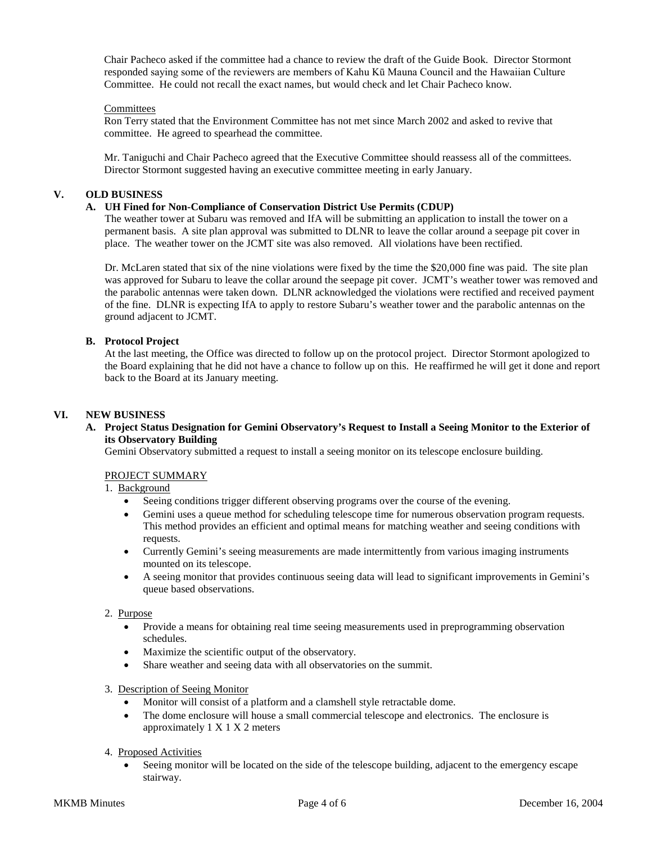Chair Pacheco asked if the committee had a chance to review the draft of the Guide Book. Director Stormont responded saying some of the reviewers are members of Kahu Kū Mauna Council and the Hawaiian Culture Committee. He could not recall the exact names, but would check and let Chair Pacheco know.

### Committees

Ron Terry stated that the Environment Committee has not met since March 2002 and asked to revive that committee. He agreed to spearhead the committee.

Mr. Taniguchi and Chair Pacheco agreed that the Executive Committee should reassess all of the committees. Director Stormont suggested having an executive committee meeting in early January.

## **V. OLD BUSINESS**

### **A. UH Fined for Non-Compliance of Conservation District Use Permits (CDUP)**

The weather tower at Subaru was removed and IfA will be submitting an application to install the tower on a permanent basis. A site plan approval was submitted to DLNR to leave the collar around a seepage pit cover in place. The weather tower on the JCMT site was also removed. All violations have been rectified.

Dr. McLaren stated that six of the nine violations were fixed by the time the \$20,000 fine was paid. The site plan was approved for Subaru to leave the collar around the seepage pit cover. JCMT's weather tower was removed and the parabolic antennas were taken down. DLNR acknowledged the violations were rectified and received payment of the fine. DLNR is expecting IfA to apply to restore Subaru's weather tower and the parabolic antennas on the ground adjacent to JCMT.

### **B. Protocol Project**

At the last meeting, the Office was directed to follow up on the protocol project. Director Stormont apologized to the Board explaining that he did not have a chance to follow up on this. He reaffirmed he will get it done and report back to the Board at its January meeting.

### **VI. NEW BUSINESS**

**A. Project Status Designation for Gemini Observatory's Request to Install a Seeing Monitor to the Exterior of its Observatory Building**

Gemini Observatory submitted a request to install a seeing monitor on its telescope enclosure building.

# PROJECT SUMMARY

#### 1. Background

- Seeing conditions trigger different observing programs over the course of the evening.
- Gemini uses a queue method for scheduling telescope time for numerous observation program requests. This method provides an efficient and optimal means for matching weather and seeing conditions with requests.
- Currently Gemini's seeing measurements are made intermittently from various imaging instruments mounted on its telescope.
- A seeing monitor that provides continuous seeing data will lead to significant improvements in Gemini's queue based observations.

#### 2. Purpose

- Provide a means for obtaining real time seeing measurements used in preprogramming observation schedules.
- Maximize the scientific output of the observatory.
- Share weather and seeing data with all observatories on the summit.
- 3. Description of Seeing Monitor
	- Monitor will consist of a platform and a clamshell style retractable dome.
	- The dome enclosure will house a small commercial telescope and electronics. The enclosure is approximately 1 X 1 X 2 meters
- 4. Proposed Activities
	- Seeing monitor will be located on the side of the telescope building, adjacent to the emergency escape stairway.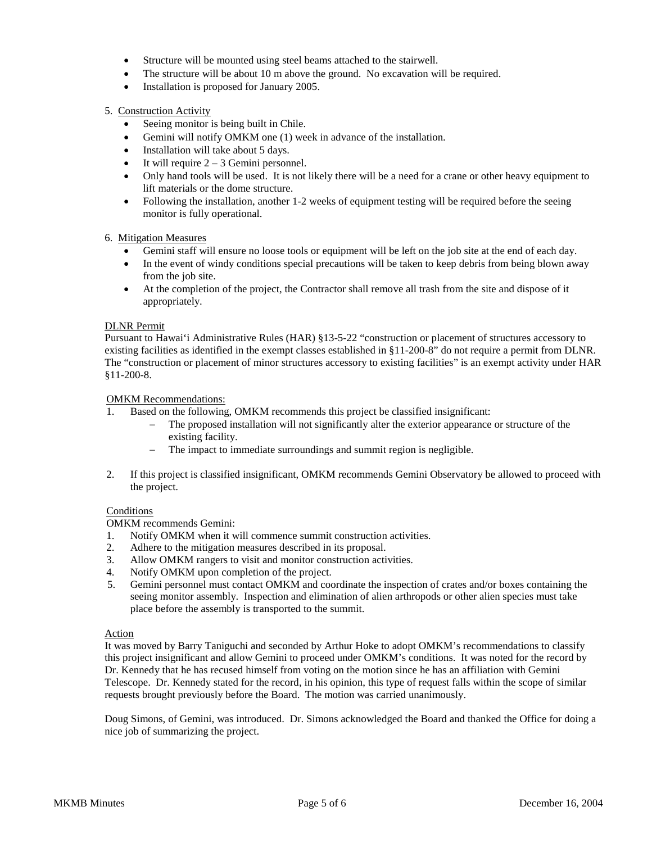- Structure will be mounted using steel beams attached to the stairwell.
- The structure will be about 10 m above the ground. No excavation will be required.
- Installation is proposed for January 2005.

### 5. Construction Activity

- Seeing monitor is being built in Chile.
- Gemini will notify OMKM one (1) week in advance of the installation.
- Installation will take about 5 days.
- It will require  $2 3$  Gemini personnel.
- Only hand tools will be used. It is not likely there will be a need for a crane or other heavy equipment to lift materials or the dome structure.
- Following the installation, another 1-2 weeks of equipment testing will be required before the seeing monitor is fully operational.

#### 6. Mitigation Measures

- Gemini staff will ensure no loose tools or equipment will be left on the job site at the end of each day.
- In the event of windy conditions special precautions will be taken to keep debris from being blown away from the job site.
- At the completion of the project, the Contractor shall remove all trash from the site and dispose of it appropriately.

#### DLNR Permit

Pursuant to Hawai'i Administrative Rules (HAR) §13-5-22 "construction or placement of structures accessory to existing facilities as identified in the exempt classes established in §11-200-8" do not require a permit from DLNR. The "construction or placement of minor structures accessory to existing facilities" is an exempt activity under HAR §11-200-8.

#### OMKM Recommendations:

- 1. Based on the following, OMKM recommends this project be classified insignificant:
	- − The proposed installation will not significantly alter the exterior appearance or structure of the existing facility.
	- − The impact to immediate surroundings and summit region is negligible.
- 2. If this project is classified insignificant, OMKM recommends Gemini Observatory be allowed to proceed with the project.

#### **Conditions**

OMKM recommends Gemini:

- 1. Notify OMKM when it will commence summit construction activities.
- 2. Adhere to the mitigation measures described in its proposal.
- 3. Allow OMKM rangers to visit and monitor construction activities.
- 4. Notify OMKM upon completion of the project.
- 5. Gemini personnel must contact OMKM and coordinate the inspection of crates and/or boxes containing the seeing monitor assembly. Inspection and elimination of alien arthropods or other alien species must take place before the assembly is transported to the summit.

#### Action

It was moved by Barry Taniguchi and seconded by Arthur Hoke to adopt OMKM's recommendations to classify this project insignificant and allow Gemini to proceed under OMKM's conditions. It was noted for the record by Dr. Kennedy that he has recused himself from voting on the motion since he has an affiliation with Gemini Telescope. Dr. Kennedy stated for the record, in his opinion, this type of request falls within the scope of similar requests brought previously before the Board. The motion was carried unanimously.

Doug Simons, of Gemini, was introduced. Dr. Simons acknowledged the Board and thanked the Office for doing a nice job of summarizing the project.